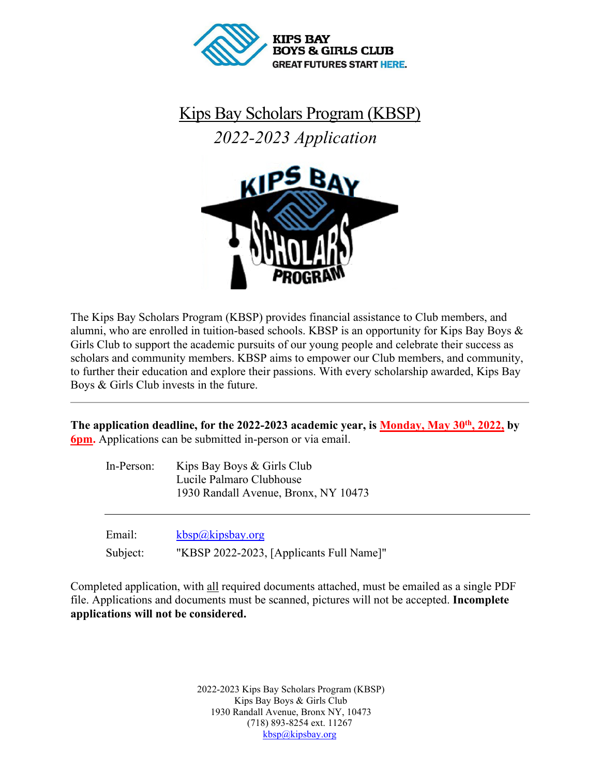

Kips Bay Scholars Program (KBSP) *2022-2023 Application* 



The Kips Bay Scholars Program (KBSP) provides financial assistance to Club members, and alumni, who are enrolled in tuition-based schools. KBSP is an opportunity for Kips Bay Boys & Girls Club to support the academic pursuits of our young people and celebrate their success as scholars and community members. KBSP aims to empower our Club members, and community, to further their education and explore their passions. With every scholarship awarded, Kips Bay Boys & Girls Club invests in the future.

The application deadline, for the 2022-2023 academic year, is **Monday**, May 30<sup>th</sup>, 2022, by **6pm.** Applications can be submitted in-person or via email.

| Kips Bay Boys & Girls Club           |  |
|--------------------------------------|--|
| Lucile Palmaro Clubhouse             |  |
| 1930 Randall Avenue, Bronx, NY 10473 |  |
|                                      |  |

| Email:   | kbsp@kipsbay.org                         |
|----------|------------------------------------------|
| Subject: | "KBSP 2022-2023, [Applicants Full Name]" |

Completed application, with all required documents attached, must be emailed as a single PDF file. Applications and documents must be scanned, pictures will not be accepted. **Incomplete applications will not be considered.**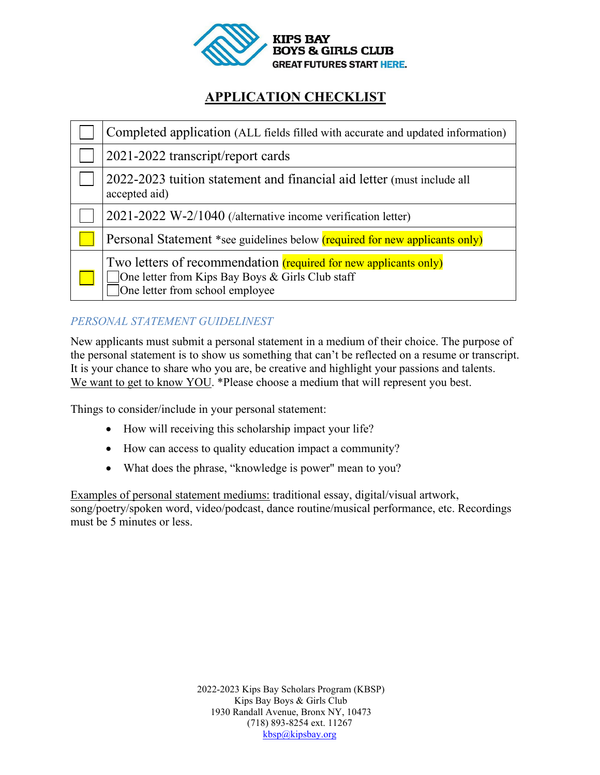

# **APPLICATION CHECKLIST**

| Completed application (ALL fields filled with accurate and updated information)                                                                                |
|----------------------------------------------------------------------------------------------------------------------------------------------------------------|
| 2021-2022 transcript/report cards                                                                                                                              |
| 2022-2023 tuition statement and financial aid letter (must include all<br>accepted aid)                                                                        |
| 2021-2022 W-2/1040 (/alternative income verification letter)                                                                                                   |
| Personal Statement *see guidelines below (required for new applicants only)                                                                                    |
| Two letters of recommendation <i>(required for new applicants only)</i><br>One letter from Kips Bay Boys & Girls Club staff<br>One letter from school employee |

## *PERSONAL STATEMENT GUIDELINEST*

New applicants must submit a personal statement in a medium of their choice. The purpose of the personal statement is to show us something that can't be reflected on a resume or transcript. It is your chance to share who you are, be creative and highlight your passions and talents. We want to get to know YOU. \*Please choose a medium that will represent you best.

Things to consider/include in your personal statement:

- How will receiving this scholarship impact your life?
- How can access to quality education impact a community?
- What does the phrase, "knowledge is power" mean to you?

Examples of personal statement mediums: traditional essay, digital/visual artwork, song/poetry/spoken word, video/podcast, dance routine/musical performance, etc. Recordings must be 5 minutes or less.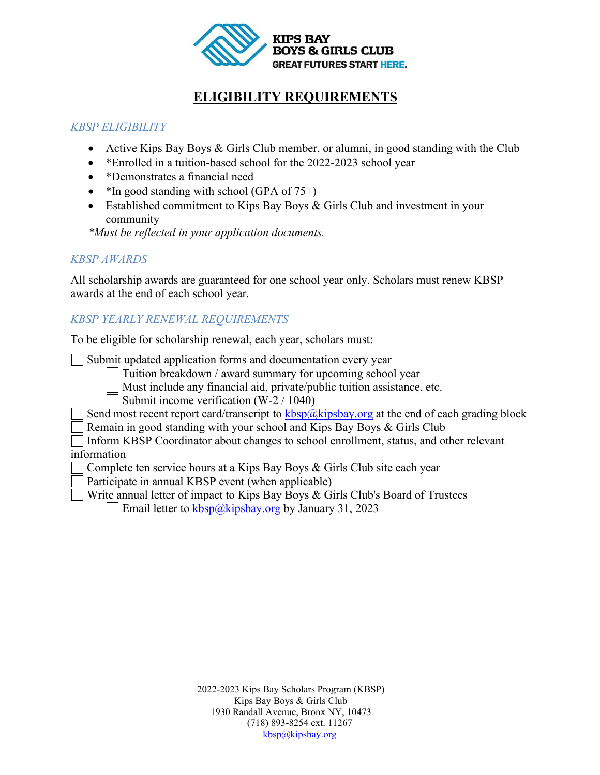

# **ELIGIBILITY REQUIREMENTS**

### *KBSP ELIGIBILITY*

- Active Kips Bay Boys & Girls Club member, or alumni, in good standing with the Club
- \* Enrolled in a tuition-based school for the 2022-2023 school year
- \*Demonstrates a financial need
- $*$ In good standing with school (GPA of 75+)
- Established commitment to Kips Bay Boys & Girls Club and investment in your community

*\*Must be reflected in your application documents.* 

### *KBSP AWARDS*

All scholarship awards are guaranteed for one school year only. Scholars must renew KBSP awards at the end of each school year.

## *KBSP YEARLY RENEWAL REQUIREMENTS*

To be eligible for scholarship renewal, each year, scholars must:

Submit updated application forms and documentation every year

Tuition breakdown / award summary for upcoming school year

Must include any financial aid, private/public tuition assistance, etc.

Submit income verification (W-2 / 1040)

Send most recent report card/transcript to  $kbsp@kipsbay.org$  at the end of each grading block

Remain in good standing with your school and Kips Bay Boys & Girls Club

Inform KBSP Coordinator about changes to school enrollment, status, and other relevant information

- Complete ten service hours at a Kips Bay Boys & Girls Club site each year
- Participate in annual KBSP event (when applicable)
- Write annual letter of impact to Kips Bay Boys & Girls Club's Board of Trustees

Email letter to  $\frac{kbsp}{a}$ kipsbay.org by January 31, 2023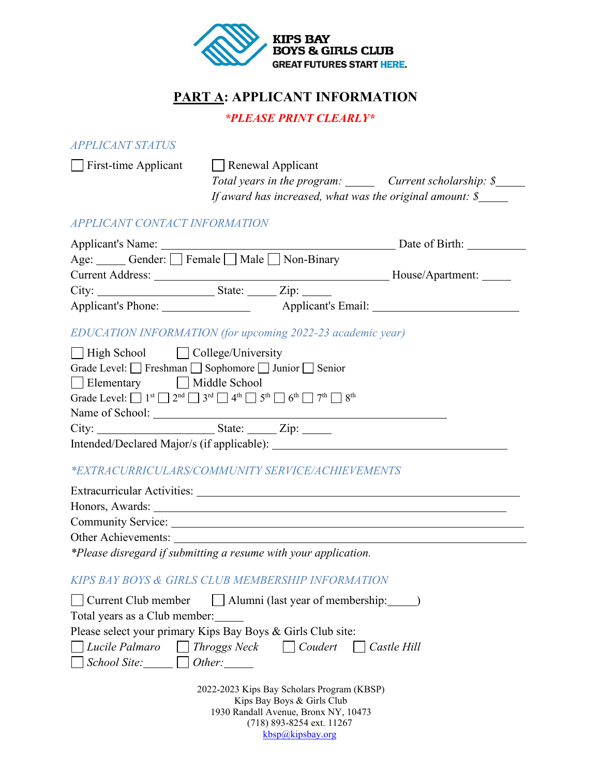

# **PART A: APPLICANT INFORMATION**

#### *\*PLEASE PRINT CLEARLY\**

#### *APPLICANT STATUS*

 $\Box$  First-time Applicant  $\Box$  Renewal Applicant *Total years in the program: Current scholarship: \$ If award has increased, what was the original amount: \$ APPLICANT CONTACT INFORMATION* Applicant's Name: Date of Birth:

| $\lambda$ reprisements there.       |        |                    | $20400$ 01 DH 01. |
|-------------------------------------|--------|--------------------|-------------------|
| Age: Gender: Female Male Non-Binary |        |                    |                   |
| <b>Current Address:</b>             |        |                    | House/Apartment:  |
| City:                               | State: | $\mathsf{Zip:}$    |                   |
| Applicant's Phone:                  |        | Applicant's Email: |                   |
|                                     |        |                    |                   |

#### *EDUCATION INFORMATION (for upcoming 2022-23 academic year)*

|                 | $\Box$ High School $\Box$ College/University                                                                                                                                                         |  |
|-----------------|------------------------------------------------------------------------------------------------------------------------------------------------------------------------------------------------------|--|
|                 | Grade Level: $\Box$ Freshman $\Box$ Sophomore $\Box$ Junior $\Box$ Senior                                                                                                                            |  |
|                 | Elementary Middle School                                                                                                                                                                             |  |
|                 | Grade Level: $\Box$ 1 <sup>st</sup> $\Box$ 2 <sup>nd</sup> $\Box$ 3 <sup>rd</sup> $\Box$ 4 <sup>th</sup> $\Box$ 5 <sup>th</sup> $\Box$ 6 <sup>th</sup> $\Box$ 7 <sup>th</sup> $\Box$ 8 <sup>th</sup> |  |
| Name of School: |                                                                                                                                                                                                      |  |
| City:           | State: Zip:                                                                                                                                                                                          |  |
|                 | Intended/Declared Major/s (if applicable):                                                                                                                                                           |  |

### *\*EXTRACURRICULARS/COMMUNITY SERVICE/ACHIEVEMENTS*

| <b>Extracurricular Activities:</b>                                                                                                                                                                                                                                                                                                                                                   |
|--------------------------------------------------------------------------------------------------------------------------------------------------------------------------------------------------------------------------------------------------------------------------------------------------------------------------------------------------------------------------------------|
| Honors, Awards:                                                                                                                                                                                                                                                                                                                                                                      |
| Community Service:                                                                                                                                                                                                                                                                                                                                                                   |
| Other Achievements:                                                                                                                                                                                                                                                                                                                                                                  |
| *Please disregard if submitting a resume with your application.                                                                                                                                                                                                                                                                                                                      |
| KIPS BAY BOYS & GIRLS CLUB MEMBERSHIP INFORMATION                                                                                                                                                                                                                                                                                                                                    |
| $\Box$ Current Club member $\Box$ Alumni (last year of membership: $\Box$ )                                                                                                                                                                                                                                                                                                          |
| $\overline{a}$ $\overline{a}$ $\overline{a}$ $\overline{a}$ $\overline{a}$ $\overline{a}$ $\overline{a}$ $\overline{a}$ $\overline{a}$ $\overline{a}$ $\overline{a}$ $\overline{a}$ $\overline{a}$ $\overline{a}$ $\overline{a}$ $\overline{a}$ $\overline{a}$ $\overline{a}$ $\overline{a}$ $\overline{a}$ $\overline{a}$ $\overline{a}$ $\overline{a}$ $\overline{a}$ $\overline{$ |

2022-2023 Kips Bay Scholars Program (KBSP) Kips Bay Boys & Girls Club 1930 Randall Avenue, Bronx NY, 10473 Total years as a Club member: Please select your primary Kips Bay Boys & Girls Club site:  *Lucile Palmaro Throggs Neck Coudert Castle Hill School Site: Other:* 

> (718) 893-8254 ext. 11267 [kbsp@kipsbay.org](mailto:kbsp@kipsbay.org)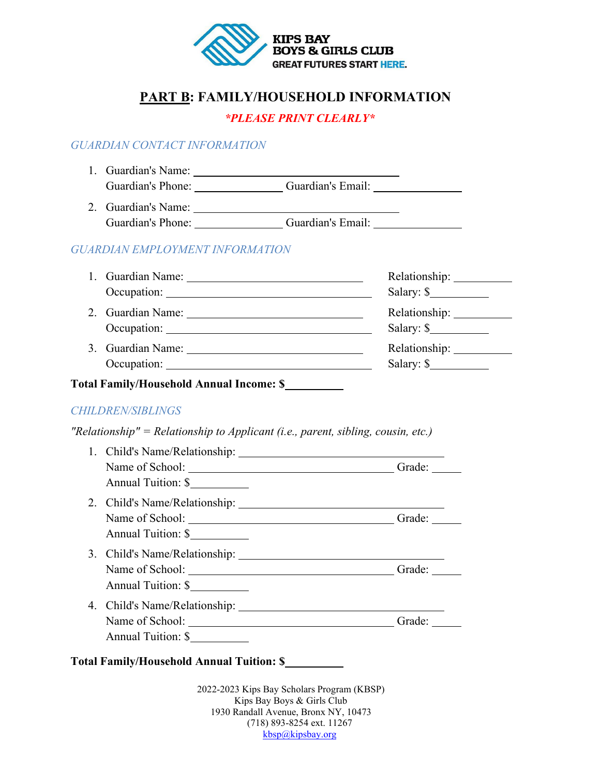

## **PART B: FAMILY/HOUSEHOLD INFORMATION**

### *\*PLEASE PRINT CLEARLY\**

### *GUARDIAN CONTACT INFORMATION*

| 1. Guardian's Name: |                   |  |
|---------------------|-------------------|--|
| Guardian's Phone:   | Guardian's Email: |  |

2. Guardian's Name:  $\mathcal{L}_{\text{max}}$ Guardian's Piame: Constant of Piame: Guardian's Email:

### *GUARDIAN EMPLOYMENT INFORMATION*

|                   | Salary: $\frac{\sqrt{2}}{2}$ |
|-------------------|------------------------------|
| 2. Guardian Name: |                              |
|                   | Salary: $\frac{\sqrt{2}}{2}$ |
| 3. Guardian Name: | Relationship:                |
| Occupation:       | Salary: $\frac{\sqrt{2}}{2}$ |
|                   |                              |

## **Total Family/Household Annual Income: \$**

#### *CHILDREN/SIBLINGS*

*"Relationship" = Relationship to Applicant (i.e., parent, sibling, cousin, etc.)*

|                    | Name of School: | Grade: |
|--------------------|-----------------|--------|
| Annual Tuition: \$ |                 |        |
|                    |                 |        |
|                    |                 |        |
| Annual Tuition: \$ |                 |        |
|                    |                 |        |
|                    |                 | Grade: |
| Annual Tuition: \$ |                 |        |
|                    |                 |        |
|                    |                 | Grade: |
| Annual Tuition: \$ |                 |        |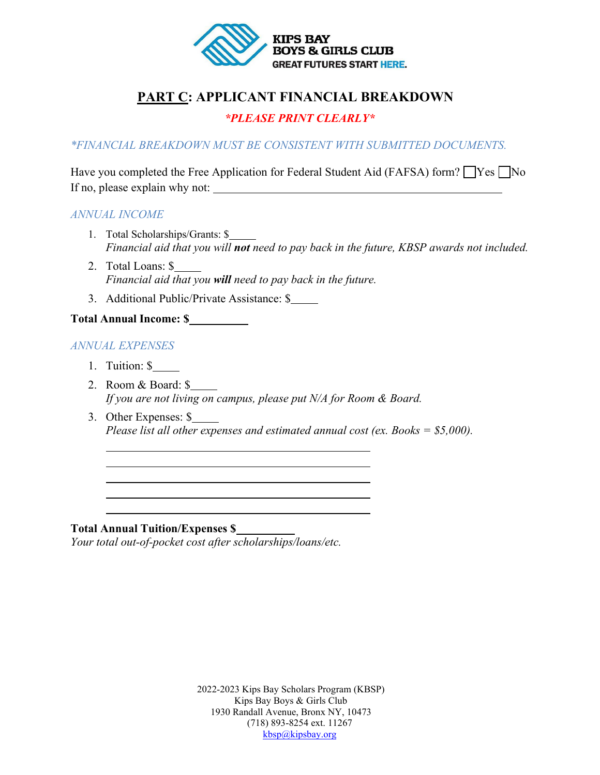

# **PART C: APPLICANT FINANCIAL BREAKDOWN**

### *\*PLEASE PRINT CLEARLY\**

*\*FINANCIAL BREAKDOWN MUST BE CONSISTENT WITH SUBMITTED DOCUMENTS.*

Have you completed the Free Application for Federal Student Aid (FAFSA) form?  $\Box$  Yes  $\Box$  No If no, please explain why not:

#### *ANNUAL INCOME*

- 1. Total Scholarships/Grants: \$ *Financial aid that you will not need to pay back in the future, KBSP awards not included.*
- 2. Total Loans: \$ *Financial aid that you will need to pay back in the future.*
- 3. Additional Public/Private Assistance: \$

### **Total Annual Income: \$**

#### *ANNUAL EXPENSES*

 $\overline{a}$ 

 $\overline{a}$ 

- 1. Tuition: \$
- 2. Room & Board: \$ *If you are not living on campus, please put N/A for Room & Board.*
- 3. Other Expenses: \$ *Please list all other expenses and estimated annual cost (ex. Books = \$5,000).*

#### **Total Annual Tuition/Expenses \$**

*Your total out-of-pocket cost after scholarships/loans/etc.*